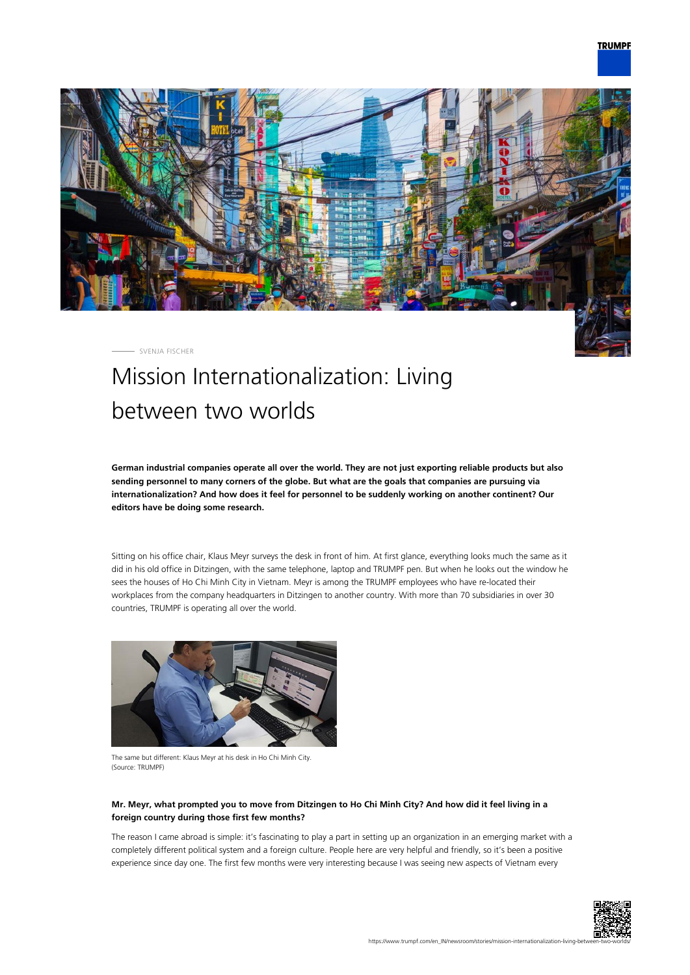

SVENJA FISCHER

# Mission Internationalization: Living between two worlds

**German industrial companies operate all over the world. They are not just exporting reliable products but also sending personnel to many corners of the globe. But what are the goals that companies are pursuing via internationalization? And how does it feel for personnel to be suddenly working on another continent? Our editors have be doing some research.**

Sitting on his office chair, Klaus Meyr surveys the desk in front of him. At first glance, everything looks much the same as it did in his old office in Ditzingen, with the same telephone, laptop and TRUMPF pen. But when he looks out the window he sees the houses of Ho Chi Minh City in Vietnam. Meyr is among the TRUMPF employees who have re-located their workplaces from the company headquarters in Ditzingen to another country. With more than 70 subsidiaries in over 30 countries, TRUMPF is operating all over the world.



The same but different: Klaus Meyr at his desk in Ho Chi Minh City. (Source: TRUMPF)

# **Mr. Meyr, what prompted you to move from Ditzingen to Ho Chi Minh City? And how did it feel living in a foreign country during those first few months?**

The reason I came abroad is simple: it's fascinating to play a part in setting up an organization in an emerging market with a completely different political system and a foreign culture. People here are very helpful and friendly, so it's been a positive experience since day one. The first few months were very interesting because I was seeing new aspects of Vietnam every